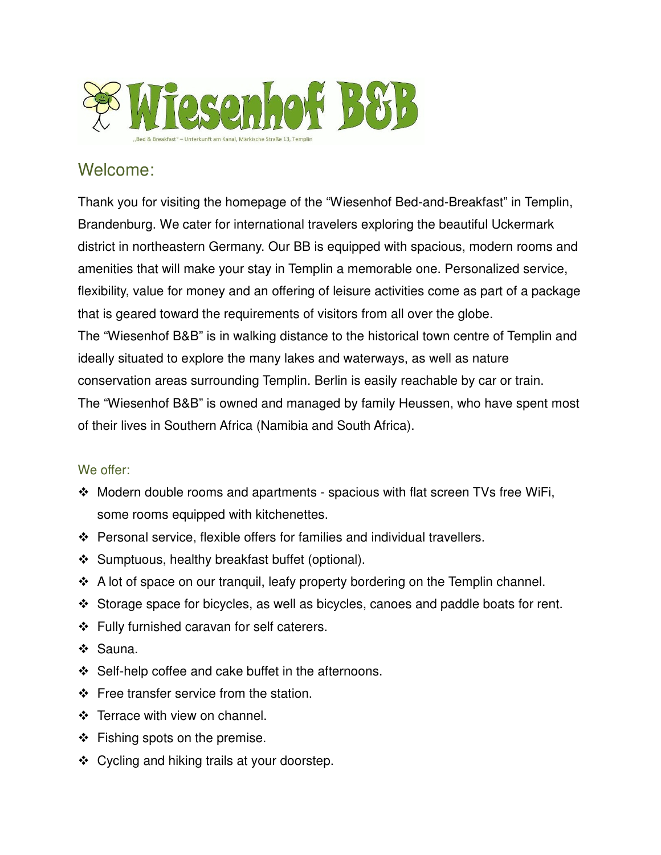

# Welcome:

Thank you for visiting the homepage of the "Wiesenhof Bed-and-Breakfast" in Templin, Brandenburg. We cater for international travelers exploring the beautiful Uckermark district in northeastern Germany. Our BB is equipped with spacious, modern rooms and amenities that will make your stay in Templin a memorable one. Personalized service, flexibility, value for money and an offering of leisure activities come as part of a package that is geared toward the requirements of visitors from all over the globe. The "Wiesenhof B&B" is in walking distance to the historical town centre of Templin and ideally situated to explore the many lakes and waterways, as well as nature conservation areas surrounding Templin. Berlin is easily reachable by car or train. The "Wiesenhof B&B" is owned and managed by family Heussen, who have spent most of their lives in Southern Africa (Namibia and South Africa).

# We offer:

- Modern double rooms and apartments spacious with flat screen TVs free WiFi, some rooms equipped with kitchenettes.
- Personal service, flexible offers for families and individual travellers.
- ❖ Sumptuous, healthy breakfast buffet (optional).
- A lot of space on our tranquil, leafy property bordering on the Templin channel.
- Storage space for bicycles, as well as bicycles, canoes and paddle boats for rent.
- ❖ Fully furnished caravan for self caterers.
- ❖ Sauna.
- $\div$  Self-help coffee and cake buffet in the afternoons.
- $\div$  Free transfer service from the station.
- ❖ Terrace with view on channel.
- $\div$  Fishing spots on the premise.
- ❖ Cycling and hiking trails at your doorstep.